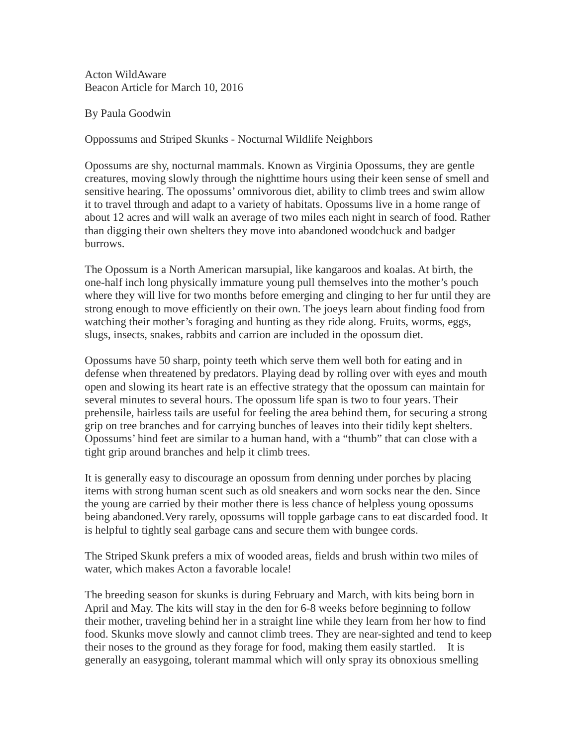Acton WildAware Beacon Article for March 10, 2016

By Paula Goodwin

Oppossums and Striped Skunks - Nocturnal Wildlife Neighbors

Opossums are shy, nocturnal mammals. Known as Virginia Opossums, they are gentle creatures, moving slowly through the nighttime hours using their keen sense of smell and sensitive hearing. The opossums' omnivorous diet, ability to climb trees and swim allow it to travel through and adapt to a variety of habitats. Opossums live in a home range of about 12 acres and will walk an average of two miles each night in search of food. Rather than digging their own shelters they move into abandoned woodchuck and badger burrows.

The Opossum is a North American marsupial, like kangaroos and koalas. At birth, the one-half inch long physically immature young pull themselves into the mother's pouch where they will live for two months before emerging and clinging to her fur until they are strong enough to move efficiently on their own. The joeys learn about finding food from watching their mother's foraging and hunting as they ride along. Fruits, worms, eggs, slugs, insects, snakes, rabbits and carrion are included in the opossum diet.

Opossums have 50 sharp, pointy teeth which serve them well both for eating and in defense when threatened by predators. Playing dead by rolling over with eyes and mouth open and slowing its heart rate is an effective strategy that the opossum can maintain for several minutes to several hours. The opossum life span is two to four years. Their prehensile, hairless tails are useful for feeling the area behind them, for securing a strong grip on tree branches and for carrying bunches of leaves into their tidily kept shelters. Opossums' hind feet are similar to a human hand, with a "thumb" that can close with a tight grip around branches and help it climb trees.

It is generally easy to discourage an opossum from denning under porches by placing items with strong human scent such as old sneakers and worn socks near the den. Since the young are carried by their mother there is less chance of helpless young opossums being abandoned.Very rarely, opossums will topple garbage cans to eat discarded food. It is helpful to tightly seal garbage cans and secure them with bungee cords.

The Striped Skunk prefers a mix of wooded areas, fields and brush within two miles of water, which makes Acton a favorable locale!

The breeding season for skunks is during February and March, with kits being born in April and May. The kits will stay in the den for 6-8 weeks before beginning to follow their mother, traveling behind her in a straight line while they learn from her how to find food. Skunks move slowly and cannot climb trees. They are near-sighted and tend to keep their noses to the ground as they forage for food, making them easily startled. It is generally an easygoing, tolerant mammal which will only spray its obnoxious smelling